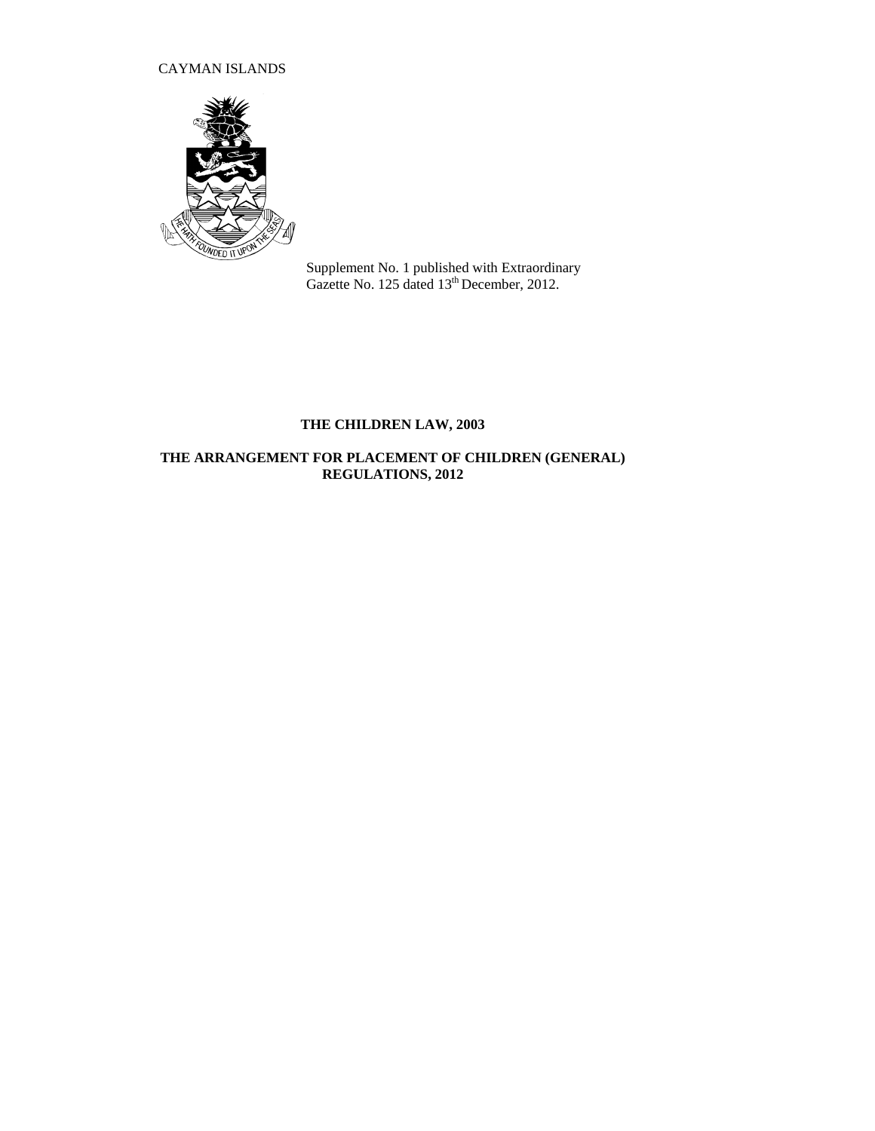# CAYMAN ISLANDS



Supplement No. 1 published with Extraordinary Gazette No. 125 dated 13<sup>th</sup> December, 2012.

# **THE CHILDREN LAW, 2003**

# **THE ARRANGEMENT FOR PLACEMENT OF CHILDREN (GENERAL) REGULATIONS, 2012**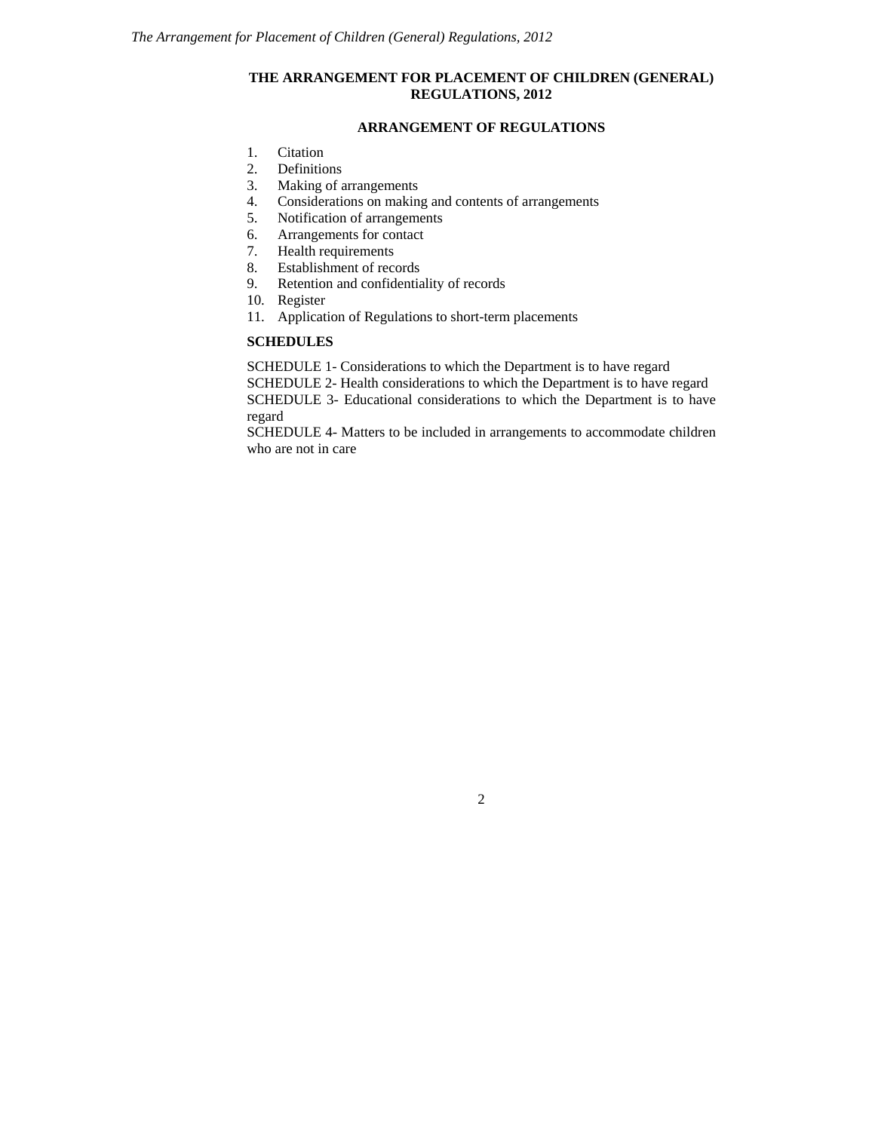# **THE ARRANGEMENT FOR PLACEMENT OF CHILDREN (GENERAL) REGULATIONS, 2012**

# **ARRANGEMENT OF REGULATIONS**

- 1. Citation
- 2. Definitions
- 3. Making of arrangements<br>4. Considerations on makin
- 4. Considerations on making and contents of arrangements<br>5. Notification of arrangements
- 5. Notification of arrangements<br>6. Arrangements for contact
- 6. Arrangements for contact
- 7. Health requirements
- 8. Establishment of records
- 9. Retention and confidentiality of records
- 10. Register
- 11. Application of Regulations to short-term placements

# **SCHEDULES**

SCHEDULE 1- Considerations to which the Department is to have regard

SCHEDULE 2- Health considerations to which the Department is to have regard

SCHEDULE 3- Educational considerations to which the Department is to have regard

SCHEDULE 4- Matters to be included in arrangements to accommodate children who are not in care

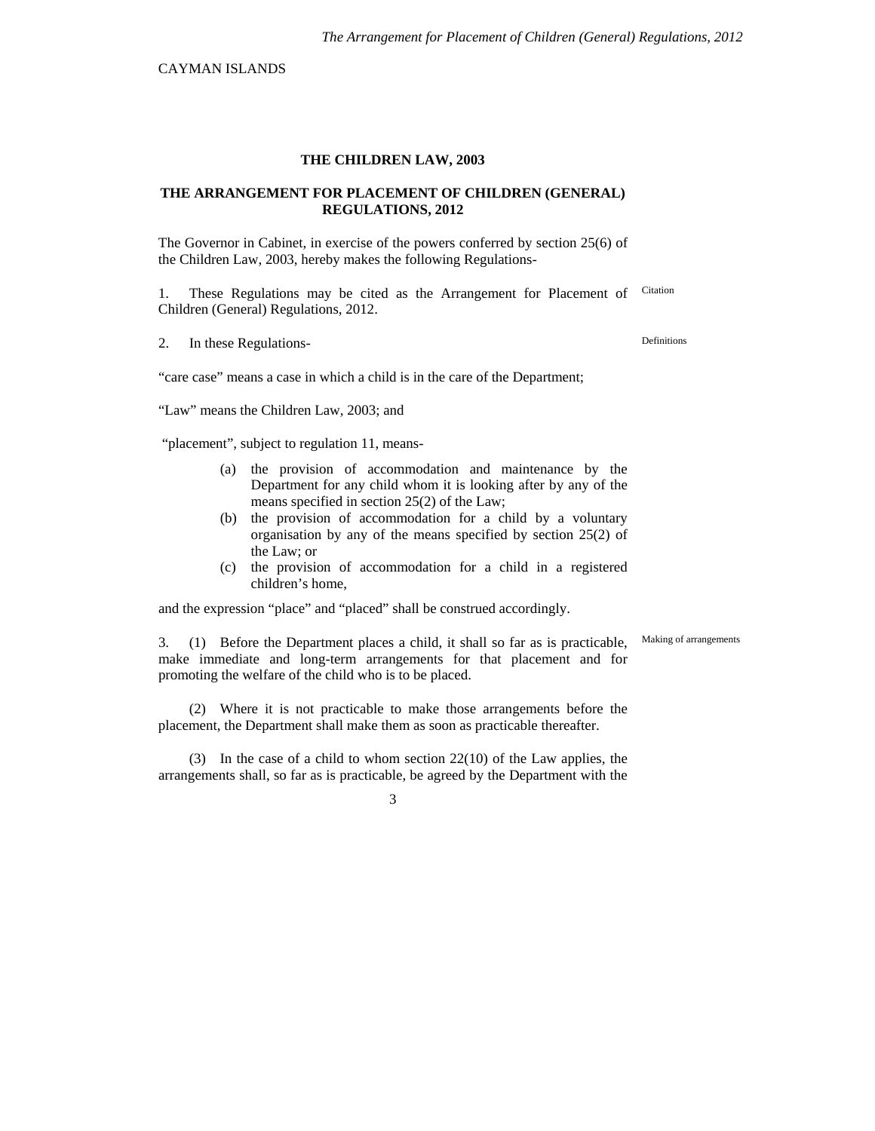CAYMAN ISLANDS

### **THE CHILDREN LAW, 2003**

### **THE ARRANGEMENT FOR PLACEMENT OF CHILDREN (GENERAL) REGULATIONS, 2012**

The Governor in Cabinet, in exercise of the powers conferred by section 25(6) of the Children Law, 2003, hereby makes the following Regulations-

1. These Regulations may be cited as the Arrangement for Placement of Citation Children (General) Regulations, 2012.

2. In these Regulations-

"care case" means a case in which a child is in the care of the Department;

"Law" means the Children Law, 2003; and

"placement", subject to regulation 11, means-

- (a) the provision of accommodation and maintenance by the Department for any child whom it is looking after by any of the means specified in section 25(2) of the Law;
- (b) the provision of accommodation for a child by a voluntary organisation by any of the means specified by section 25(2) of the Law; or
- (c) the provision of accommodation for a child in a registered children's home,

and the expression "place" and "placed" shall be construed accordingly.

3. (1) Before the Department places a child, it shall so far as is practicable, make immediate and long-term arrangements for that placement and for promoting the welfare of the child who is to be placed.

(2) Where it is not practicable to make those arrangements before the placement, the Department shall make them as soon as practicable thereafter.

(3) In the case of a child to whom section 22(10) of the Law applies, the arrangements shall, so far as is practicable, be agreed by the Department with the

3

Making of arrangements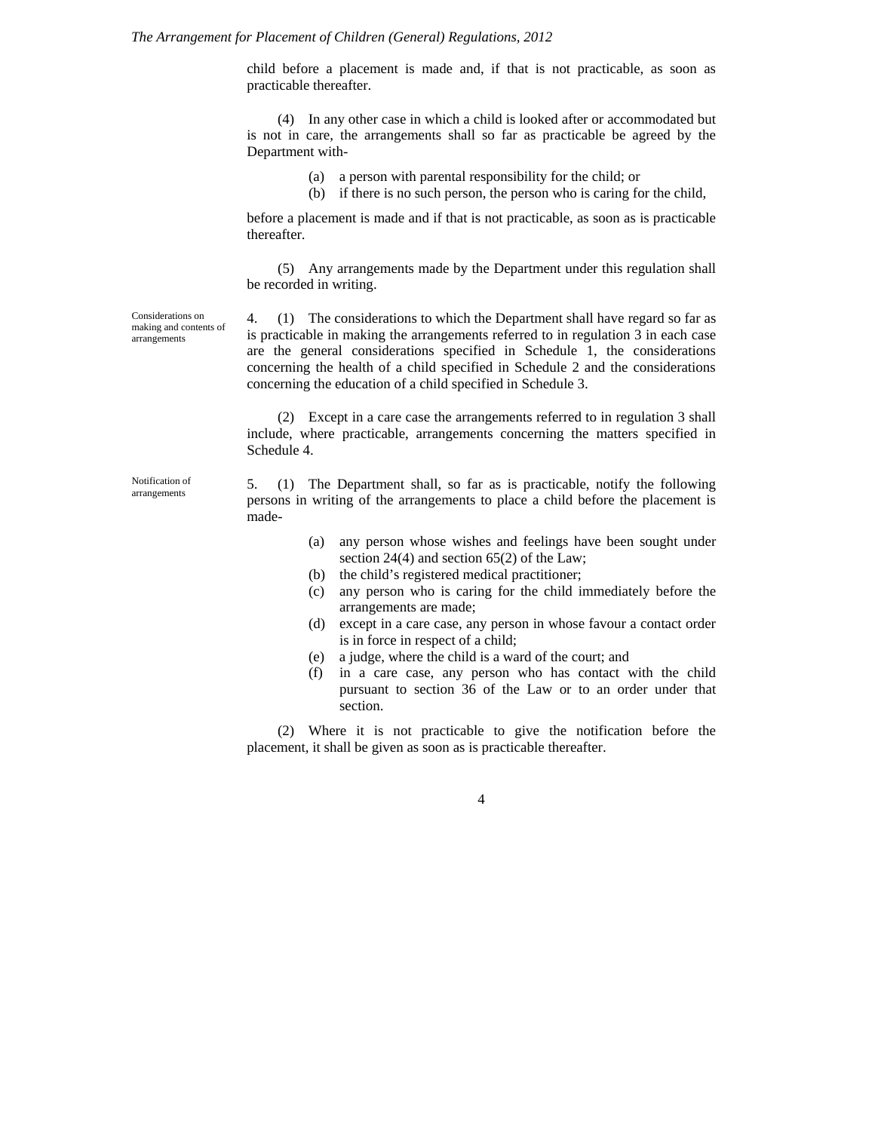#### *The Arrangement for Placement of Children (General) Regulations, 2012*

child before a placement is made and, if that is not practicable, as soon as practicable thereafter.

(4) In any other case in which a child is looked after or accommodated but is not in care, the arrangements shall so far as practicable be agreed by the Department with-

- (a) a person with parental responsibility for the child; or
- (b) if there is no such person, the person who is caring for the child,

before a placement is made and if that is not practicable, as soon as is practicable thereafter.

(5) Any arrangements made by the Department under this regulation shall be recorded in writing.

Considerations on making and contents of arrangements

4. (1) The considerations to which the Department shall have regard so far as is practicable in making the arrangements referred to in regulation 3 in each case are the general considerations specified in Schedule 1, the considerations concerning the health of a child specified in Schedule 2 and the considerations concerning the education of a child specified in Schedule 3.

(2) Except in a care case the arrangements referred to in regulation 3 shall include, where practicable, arrangements concerning the matters specified in Schedule 4.

Notification of arrangements

5. (1) The Department shall, so far as is practicable, notify the following persons in writing of the arrangements to place a child before the placement is made-

- (a) any person whose wishes and feelings have been sought under section 24(4) and section 65(2) of the Law;
- (b) the child's registered medical practitioner;
- (c) any person who is caring for the child immediately before the arrangements are made;
- (d) except in a care case, any person in whose favour a contact order is in force in respect of a child;
- (e) a judge, where the child is a ward of the court; and
- (f) in a care case, any person who has contact with the child pursuant to section 36 of the Law or to an order under that section.

(2) Where it is not practicable to give the notification before the placement, it shall be given as soon as is practicable thereafter.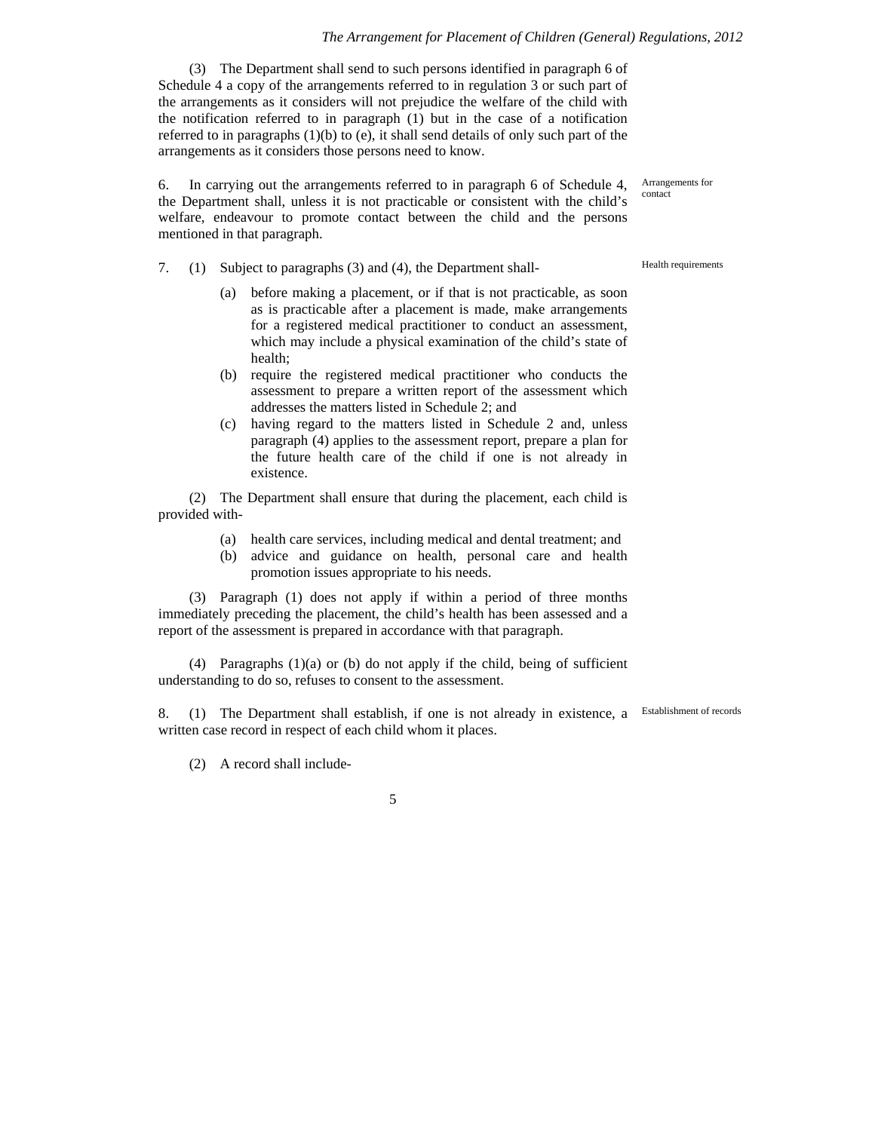#### *The Arrangement for Placement of Children (General) Regulations, 2012*

(3) The Department shall send to such persons identified in paragraph 6 of Schedule 4 a copy of the arrangements referred to in regulation 3 or such part of the arrangements as it considers will not prejudice the welfare of the child with the notification referred to in paragraph (1) but in the case of a notification referred to in paragraphs  $(1)(b)$  to  $(e)$ , it shall send details of only such part of the arrangements as it considers those persons need to know.

6. In carrying out the arrangements referred to in paragraph 6 of Schedule 4, the Department shall, unless it is not practicable or consistent with the child's welfare, endeavour to promote contact between the child and the persons mentioned in that paragraph.

- 7. (1) Subject to paragraphs (3) and (4), the Department shall-<br>Health requirements
	- (a) before making a placement, or if that is not practicable, as soon as is practicable after a placement is made, make arrangements for a registered medical practitioner to conduct an assessment, which may include a physical examination of the child's state of health;
	- (b) require the registered medical practitioner who conducts the assessment to prepare a written report of the assessment which addresses the matters listed in Schedule 2; and
	- (c) having regard to the matters listed in Schedule 2 and, unless paragraph (4) applies to the assessment report, prepare a plan for the future health care of the child if one is not already in existence.

(2) The Department shall ensure that during the placement, each child is provided with-

- (a) health care services, including medical and dental treatment; and
- (b) advice and guidance on health, personal care and health promotion issues appropriate to his needs.

(3) Paragraph (1) does not apply if within a period of three months immediately preceding the placement, the child's health has been assessed and a report of the assessment is prepared in accordance with that paragraph.

(4) Paragraphs (1)(a) or (b) do not apply if the child, being of sufficient understanding to do so, refuses to consent to the assessment.

8. (1) The Department shall establish, if one is not already in existence, a written case record in respect of each child whom it places.

(2) A record shall include-

5

Arrangements for contact

Establishment of records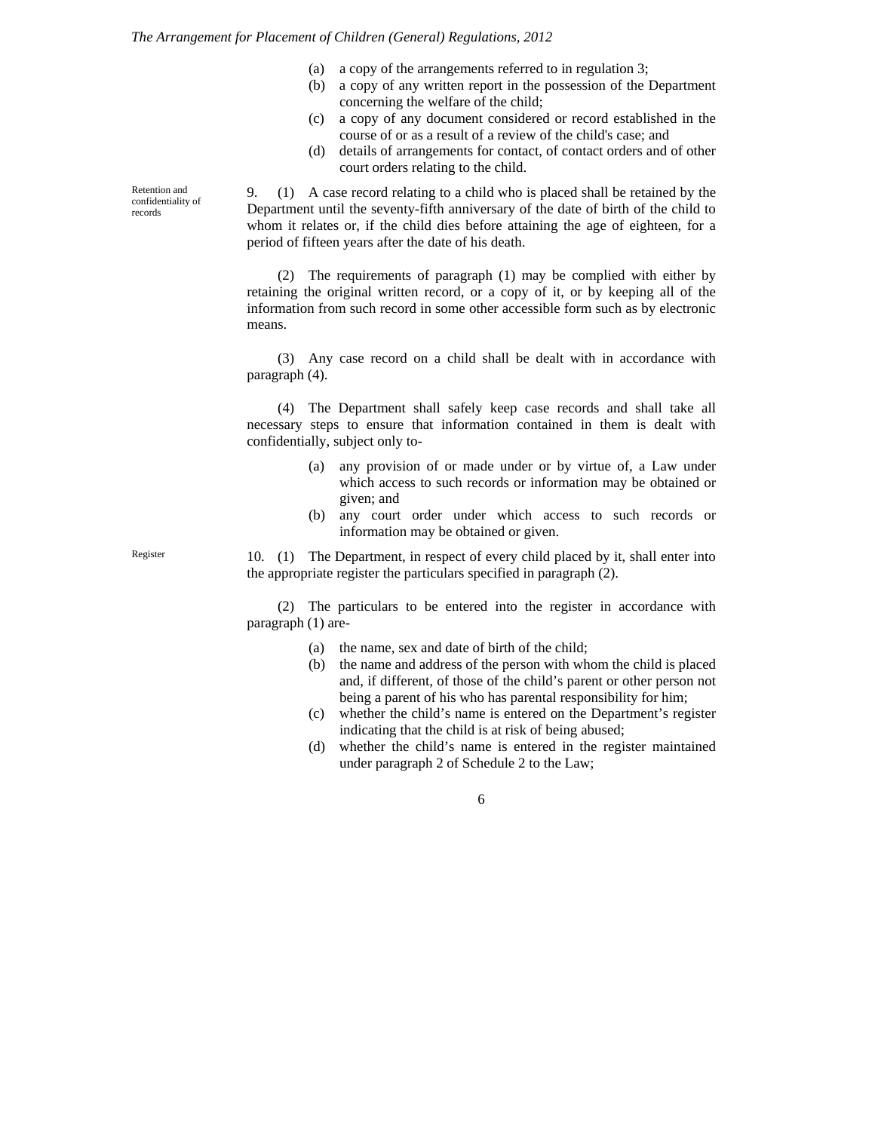- (a) a copy of the arrangements referred to in regulation 3;
- (b) a copy of any written report in the possession of the Department concerning the welfare of the child;
- (c) a copy of any document considered or record established in the course of or as a result of a review of the child's case; and
- (d) details of arrangements for contact, of contact orders and of other court orders relating to the child.

9. (1) A case record relating to a child who is placed shall be retained by the Department until the seventy-fifth anniversary of the date of birth of the child to whom it relates or, if the child dies before attaining the age of eighteen, for a period of fifteen years after the date of his death.

(2) The requirements of paragraph (1) may be complied with either by retaining the original written record, or a copy of it, or by keeping all of the information from such record in some other accessible form such as by electronic means.

(3) Any case record on a child shall be dealt with in accordance with paragraph (4).

(4) The Department shall safely keep case records and shall take all necessary steps to ensure that information contained in them is dealt with confidentially, subject only to-

- (a) any provision of or made under or by virtue of, a Law under which access to such records or information may be obtained or given; and
- (b) any court order under which access to such records or information may be obtained or given.

10. (1) The Department, in respect of every child placed by it, shall enter into the appropriate register the particulars specified in paragraph (2).

(2) The particulars to be entered into the register in accordance with paragraph (1) are-

- (a) the name, sex and date of birth of the child;
- (b) the name and address of the person with whom the child is placed and, if different, of those of the child's parent or other person not being a parent of his who has parental responsibility for him;
- (c) whether the child's name is entered on the Department's register indicating that the child is at risk of being abused;
- (d) whether the child's name is entered in the register maintained under paragraph 2 of Schedule 2 to the Law;

6

Retention and confidentiality of records

Register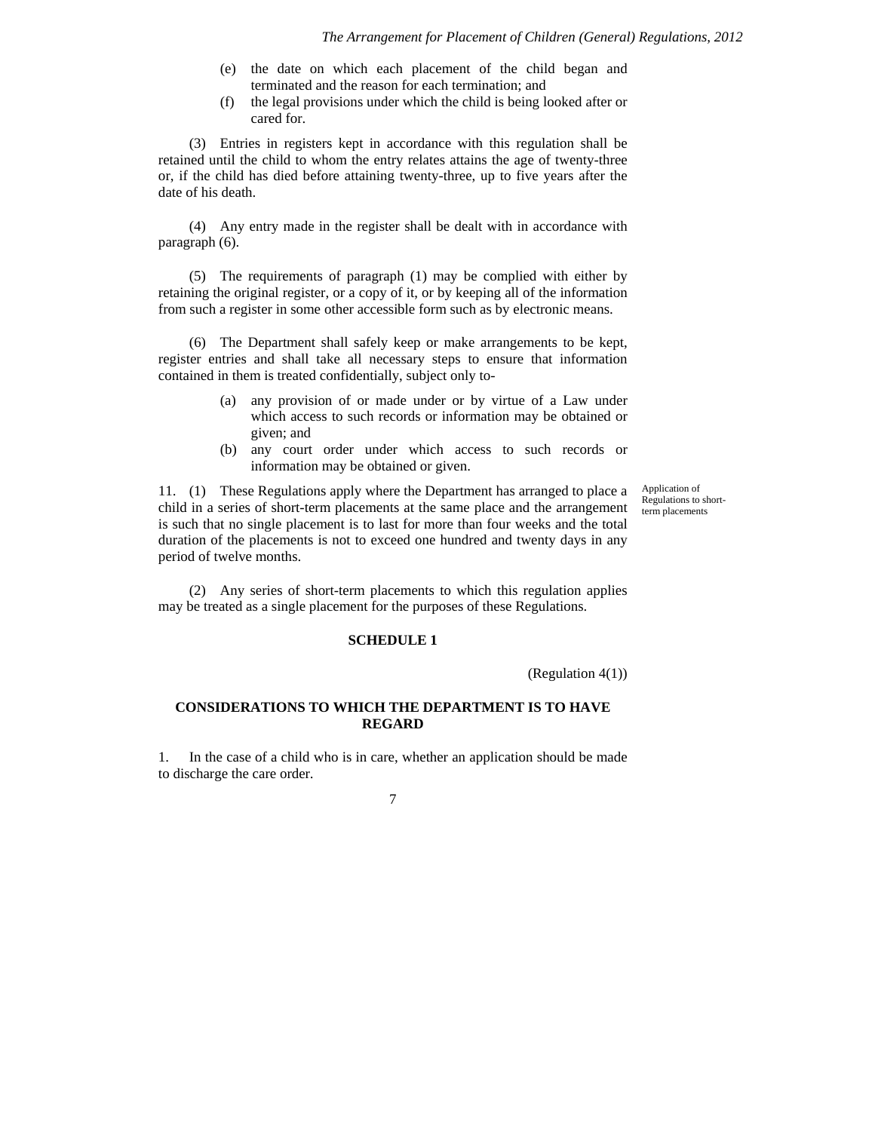- (e) the date on which each placement of the child began and terminated and the reason for each termination; and
- (f) the legal provisions under which the child is being looked after or cared for.

(3) Entries in registers kept in accordance with this regulation shall be retained until the child to whom the entry relates attains the age of twenty-three or, if the child has died before attaining twenty-three, up to five years after the date of his death.

(4) Any entry made in the register shall be dealt with in accordance with paragraph (6).

(5) The requirements of paragraph (1) may be complied with either by retaining the original register, or a copy of it, or by keeping all of the information from such a register in some other accessible form such as by electronic means.

(6) The Department shall safely keep or make arrangements to be kept, register entries and shall take all necessary steps to ensure that information contained in them is treated confidentially, subject only to-

- (a) any provision of or made under or by virtue of a Law under which access to such records or information may be obtained or given; and
- (b) any court order under which access to such records or information may be obtained or given.

11. (1) These Regulations apply where the Department has arranged to place a child in a series of short-term placements at the same place and the arrangement is such that no single placement is to last for more than four weeks and the total duration of the placements is not to exceed one hundred and twenty days in any period of twelve months.

Application of Regulations to shortterm placements

(2) Any series of short-term placements to which this regulation applies may be treated as a single placement for the purposes of these Regulations.

#### **SCHEDULE 1**

(Regulation 4(1))

# **CONSIDERATIONS TO WHICH THE DEPARTMENT IS TO HAVE REGARD**

1. In the case of a child who is in care, whether an application should be made to discharge the care order.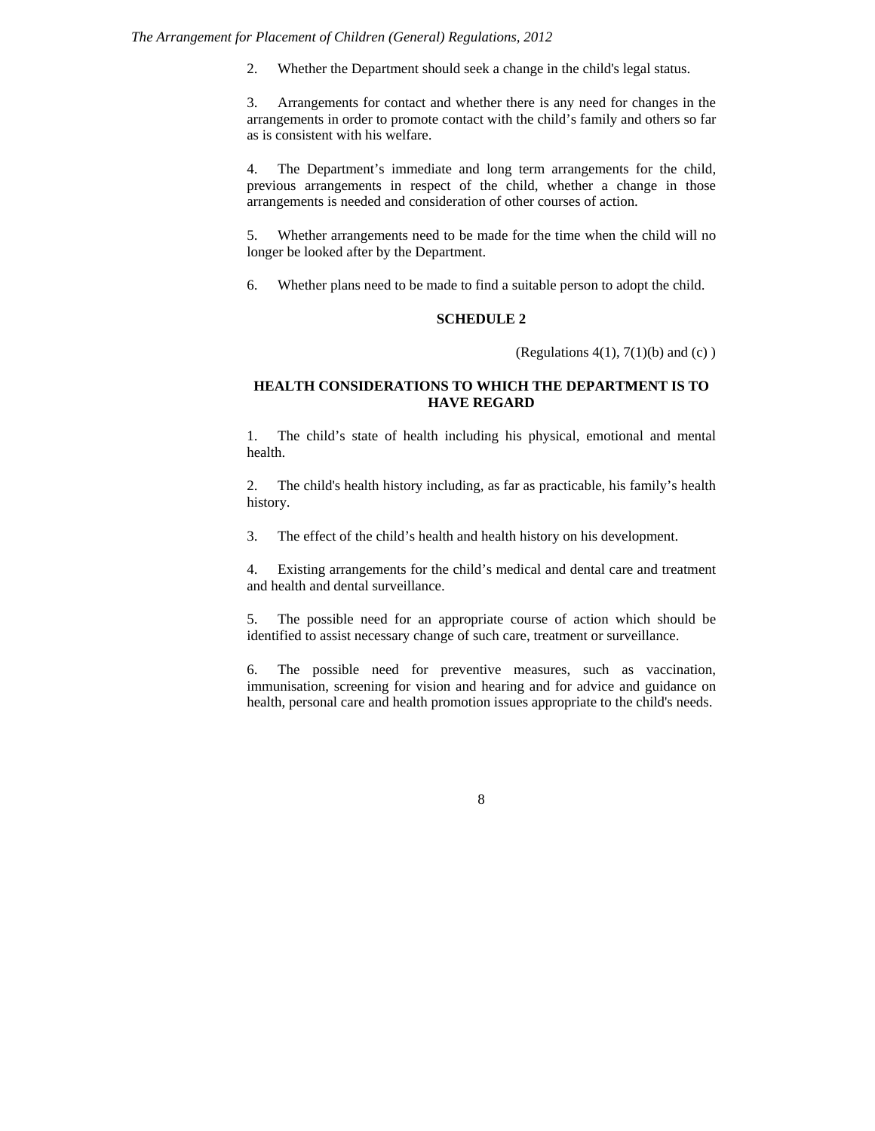2. Whether the Department should seek a change in the child's legal status.

3. Arrangements for contact and whether there is any need for changes in the arrangements in order to promote contact with the child's family and others so far as is consistent with his welfare.

4. The Department's immediate and long term arrangements for the child, previous arrangements in respect of the child, whether a change in those arrangements is needed and consideration of other courses of action.

5. Whether arrangements need to be made for the time when the child will no longer be looked after by the Department.

6. Whether plans need to be made to find a suitable person to adopt the child.

# **SCHEDULE 2**

(Regulations  $4(1)$ ,  $7(1)(b)$  and  $(c)$ )

## **HEALTH CONSIDERATIONS TO WHICH THE DEPARTMENT IS TO HAVE REGARD**

1. The child's state of health including his physical, emotional and mental health.

2. The child's health history including, as far as practicable, his family's health history.

3. The effect of the child's health and health history on his development.

4. Existing arrangements for the child's medical and dental care and treatment and health and dental surveillance.

5. The possible need for an appropriate course of action which should be identified to assist necessary change of such care, treatment or surveillance.

6. The possible need for preventive measures, such as vaccination, immunisation, screening for vision and hearing and for advice and guidance on health, personal care and health promotion issues appropriate to the child's needs.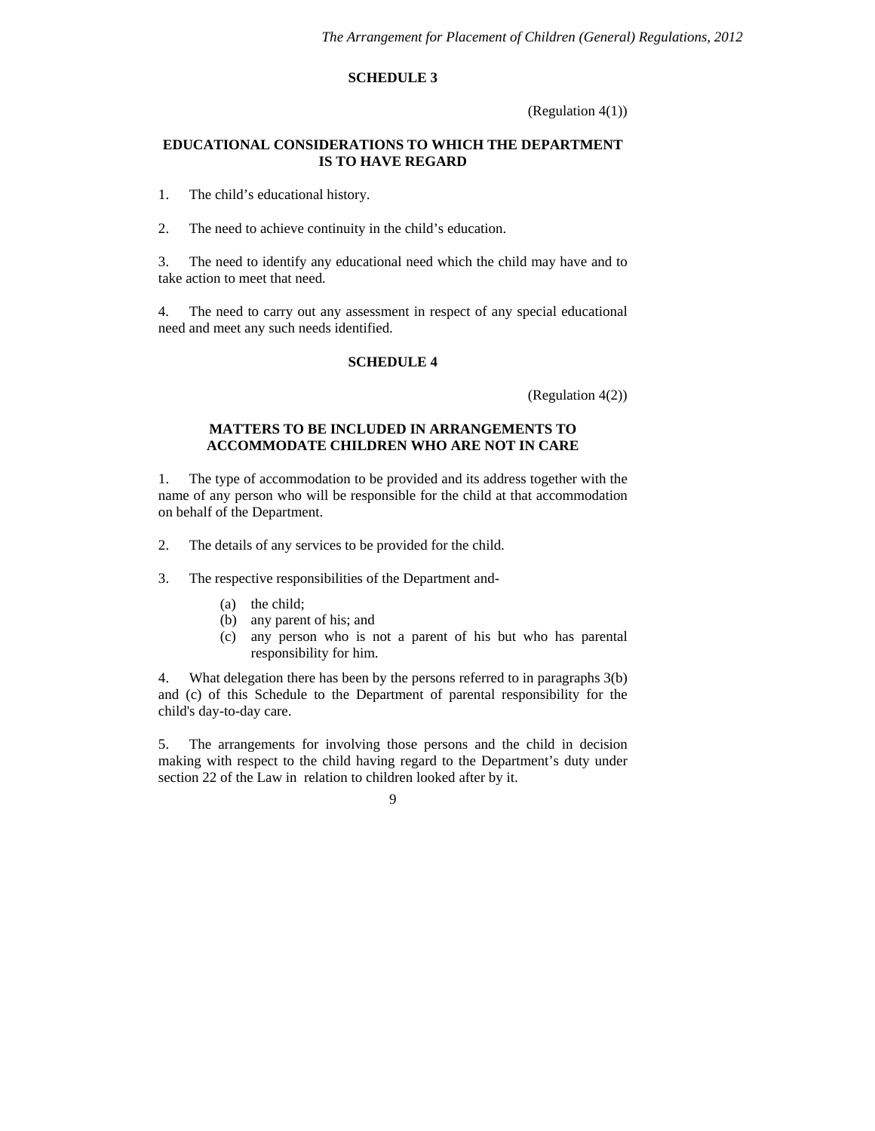### **SCHEDULE 3**

(Regulation 4(1))

### **EDUCATIONAL CONSIDERATIONS TO WHICH THE DEPARTMENT IS TO HAVE REGARD**

1. The child's educational history.

2. The need to achieve continuity in the child's education.

3. The need to identify any educational need which the child may have and to take action to meet that need.

4. The need to carry out any assessment in respect of any special educational need and meet any such needs identified.

# **SCHEDULE 4**

(Regulation 4(2))

### **MATTERS TO BE INCLUDED IN ARRANGEMENTS TO ACCOMMODATE CHILDREN WHO ARE NOT IN CARE**

1. The type of accommodation to be provided and its address together with the name of any person who will be responsible for the child at that accommodation on behalf of the Department.

2. The details of any services to be provided for the child.

3. The respective responsibilities of the Department and-

- (a) the child;
- (b) any parent of his; and
- (c) any person who is not a parent of his but who has parental responsibility for him.

4. What delegation there has been by the persons referred to in paragraphs 3(b) and (c) of this Schedule to the Department of parental responsibility for the child's day-to-day care.

5. The arrangements for involving those persons and the child in decision making with respect to the child having regard to the Department's duty under section 22 of the Law in relation to children looked after by it.